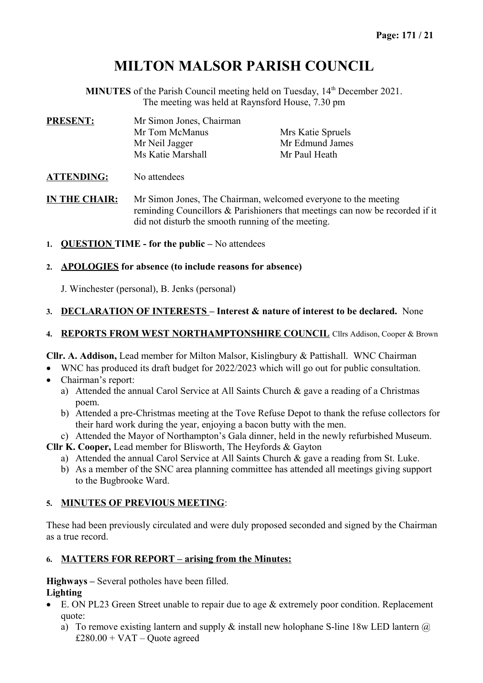# **MILTON MALSOR PARISH COUNCIL**

**MINUTES** of the Parish Council meeting held on Tuesday, 14<sup>th</sup> December 2021. The meeting was held at Raynsford House, 7.30 pm

| <b>PRESENT:</b> | Mr Simon Jones, Chairman |                   |  |
|-----------------|--------------------------|-------------------|--|
|                 | Mr Tom McManus           | Mrs Katie Spruels |  |
|                 | Mr Neil Jagger           | Mr Edmund James   |  |
|                 | Ms Katie Marshall        | Mr Paul Heath     |  |
|                 |                          |                   |  |

**ATTENDING:** No attendees

**IN THE CHAIR:** Mr Simon Jones, The Chairman, welcomed everyone to the meeting reminding Councillors & Parishioners that meetings can now be recorded if it did not disturb the smooth running of the meeting.

**1. QUESTION TIME - for the public –** No attendees

### **2. APOLOGIES for absence (to include reasons for absence)**

J. Winchester (personal), B. Jenks (personal)

### **3. DECLARATION OF INTERESTS – Interest & nature of interest to be declared.** None

### **4. REPORTS FROM WEST NORTHAMPTONSHIRE COUNCIL** Cllrs Addison, Cooper & Brown

**Cllr. A. Addison,** Lead member for Milton Malsor, Kislingbury & Pattishall. WNC Chairman

WNC has produced its draft budget for 2022/2023 which will go out for public consultation.

- Chairman's report:
	- a) Attended the annual Carol Service at All Saints Church & gave a reading of a Christmas poem.
	- b) Attended a pre-Christmas meeting at the Tove Refuse Depot to thank the refuse collectors for their hard work during the year, enjoying a bacon butty with the men.
	- c) Attended the Mayor of Northampton's Gala dinner, held in the newly refurbished Museum.

**Cllr K. Cooper,** Lead member for Blisworth, The Heyfords & Gayton

- a) Attended the annual Carol Service at All Saints Church & gave a reading from St. Luke.
- b) As a member of the SNC area planning committee has attended all meetings giving support to the Bugbrooke Ward.

# **5. MINUTES OF PREVIOUS MEETING**:

These had been previously circulated and were duly proposed seconded and signed by the Chairman as a true record.

# **6. MATTERS FOR REPORT – arising from the Minutes:**

**Highways –** Several potholes have been filled. **Lighting** 

- E. ON PL23 Green Street unable to repair due to age & extremely poor condition. Replacement quote:
	- a) To remove existing lantern and supply  $\&$  install new holophane S-line 18w LED lantern  $\omega$  $£280.00 + VAT - O$ uote agreed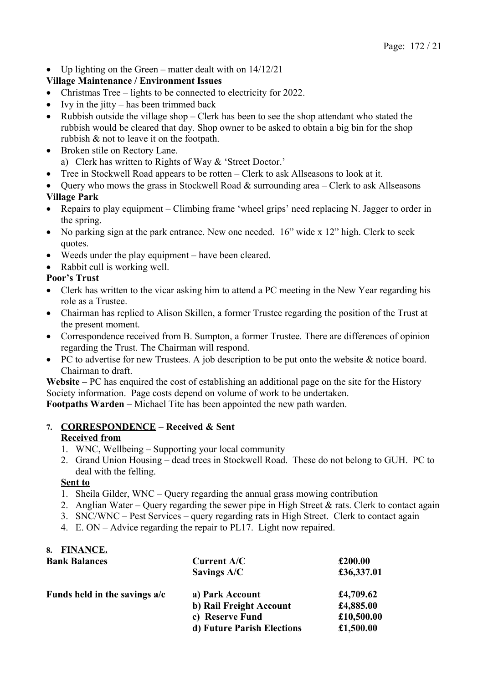Up lighting on the Green – matter dealt with on 14/12/21

### **Village Maintenance / Environment Issues**

- Christmas Tree lights to be connected to electricity for 2022.
- $\bullet$  Ivy in the jitty has been trimmed back
- Rubbish outside the village shop Clerk has been to see the shop attendant who stated the rubbish would be cleared that day. Shop owner to be asked to obtain a big bin for the shop rubbish & not to leave it on the footpath.
- Broken stile on Rectory Lane. a) Clerk has written to Rights of Way & 'Street Doctor.'
- Tree in Stockwell Road appears to be rotten Clerk to ask Allseasons to look at it.
- Query who mows the grass in Stockwell Road  $&$  surrounding area  $-$  Clerk to ask Allseasons **Village Park**
- Repairs to play equipment Climbing frame 'wheel grips' need replacing N. Jagger to order in the spring.
- No parking sign at the park entrance. New one needed. 16" wide x 12" high. Clerk to seek quotes.
- Weeds under the play equipment have been cleared.
- Rabbit cull is working well.

# **Poor's Trust**

- Clerk has written to the vicar asking him to attend a PC meeting in the New Year regarding his role as a Trustee.
- Chairman has replied to Alison Skillen, a former Trustee regarding the position of the Trust at the present moment.
- Correspondence received from B. Sumpton, a former Trustee. There are differences of opinion regarding the Trust. The Chairman will respond.
- PC to advertise for new Trustees. A job description to be put onto the website & notice board. Chairman to draft.

**Website –** PC has enquired the cost of establishing an additional page on the site for the History Society information. Page costs depend on volume of work to be undertaken.

**Footpaths Warden –** Michael Tite has been appointed the new path warden.

# **7. CORRESPONDENCE – Received & Sent**

### **Received from**

- 1. WNC, Wellbeing Supporting your local community
- 2. Grand Union Housing dead trees in Stockwell Road. These do not belong to GUH. PC to deal with the felling.

### **Sent to**

- 1. Sheila Gilder, WNC Query regarding the annual grass mowing contribution
- 2. Anglian Water Query regarding the sewer pipe in High Street & rats. Clerk to contact again
- 3. SNC/WNC Pest Services query regarding rats in High Street. Clerk to contact again
- 4. E. ON Advice regarding the repair to PL17. Light now repaired.

### **8. FINANCE.**

| <b>Bank Balances</b>          | Current A/C                | £200.00    |
|-------------------------------|----------------------------|------------|
|                               | Savings A/C                | £36,337.01 |
| Funds held in the savings a/c | a) Park Account            | £4,709.62  |
|                               | b) Rail Freight Account    | £4,885.00  |
|                               | c) Reserve Fund            | £10,500.00 |
|                               | d) Future Parish Elections | £1,500.00  |